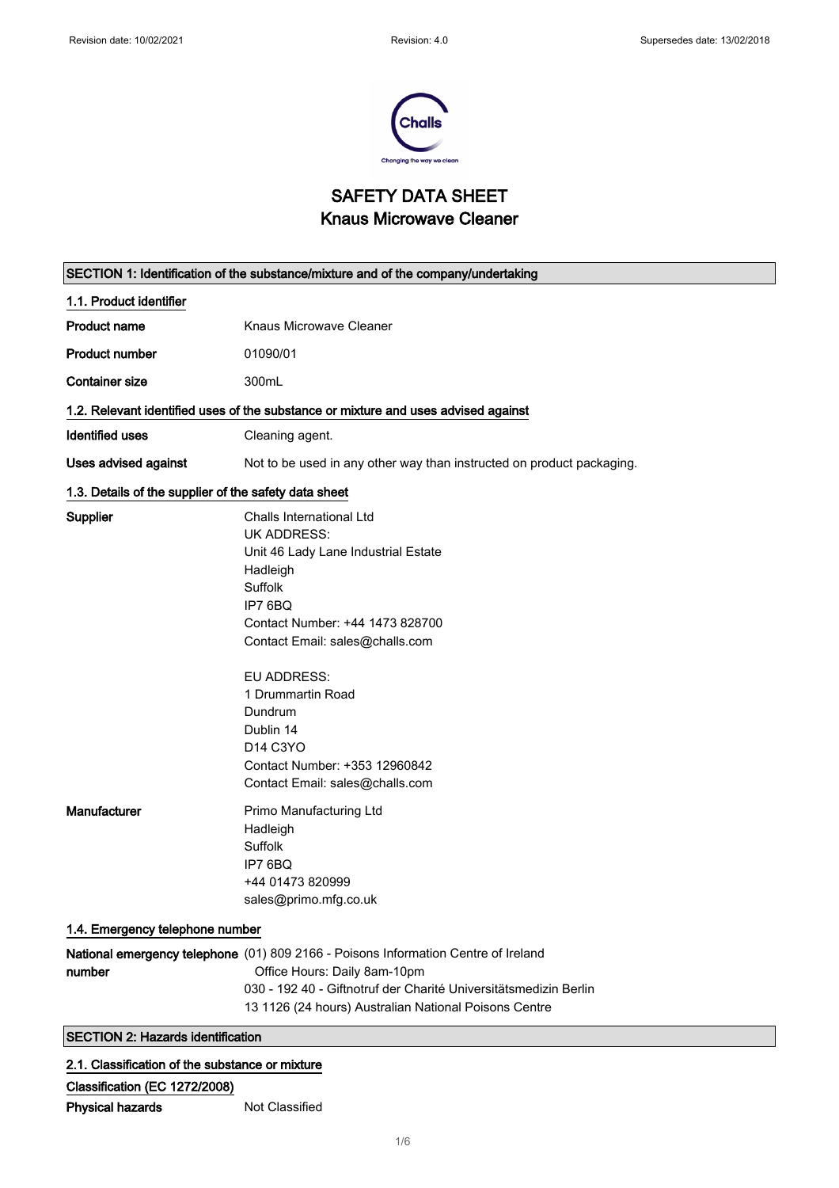

# SAFETY DATA SHEET Knaus Microwave Cleaner

|                                                       | SECTION 1: Identification of the substance/mixture and of the company/undertaking                                                                                                                                                                                                                                                         |  |
|-------------------------------------------------------|-------------------------------------------------------------------------------------------------------------------------------------------------------------------------------------------------------------------------------------------------------------------------------------------------------------------------------------------|--|
| 1.1. Product identifier                               |                                                                                                                                                                                                                                                                                                                                           |  |
| <b>Product name</b>                                   | Knaus Microwave Cleaner                                                                                                                                                                                                                                                                                                                   |  |
| <b>Product number</b>                                 | 01090/01                                                                                                                                                                                                                                                                                                                                  |  |
| <b>Container size</b>                                 | 300mL                                                                                                                                                                                                                                                                                                                                     |  |
|                                                       | 1.2. Relevant identified uses of the substance or mixture and uses advised against                                                                                                                                                                                                                                                        |  |
| <b>Identified uses</b>                                | Cleaning agent.                                                                                                                                                                                                                                                                                                                           |  |
| Uses advised against                                  | Not to be used in any other way than instructed on product packaging.                                                                                                                                                                                                                                                                     |  |
| 1.3. Details of the supplier of the safety data sheet |                                                                                                                                                                                                                                                                                                                                           |  |
| Supplier                                              | Challs International Ltd<br><b>UK ADDRESS:</b><br>Unit 46 Lady Lane Industrial Estate<br>Hadleigh<br>Suffolk<br>IP7 6BQ<br>Contact Number: +44 1473 828700<br>Contact Email: sales@challs.com<br>EU ADDRESS:<br>1 Drummartin Road<br>Dundrum<br>Dublin 14<br>D14 C3YO<br>Contact Number: +353 12960842<br>Contact Email: sales@challs.com |  |
| <b>Manufacturer</b>                                   | Primo Manufacturing Ltd<br>Hadleigh<br>Suffolk<br>IP7 6BQ<br>+44 01473 820999<br>sales@primo.mfg.co.uk                                                                                                                                                                                                                                    |  |
| 1.4. Emergency telephone number                       |                                                                                                                                                                                                                                                                                                                                           |  |
| number                                                | National emergency telephone (01) 809 2166 - Poisons Information Centre of Ireland<br>Office Hours: Daily 8am-10pm<br>030 - 192 40 - Giftnotruf der Charité Universitätsmedizin Berlin<br>13 1126 (24 hours) Australian National Poisons Centre                                                                                           |  |
| <b>SECTION 2: Hazards identification</b>              |                                                                                                                                                                                                                                                                                                                                           |  |

### 2.1. Classification of the substance or mixture

Classification (EC 1272/2008) Physical hazards Not Classified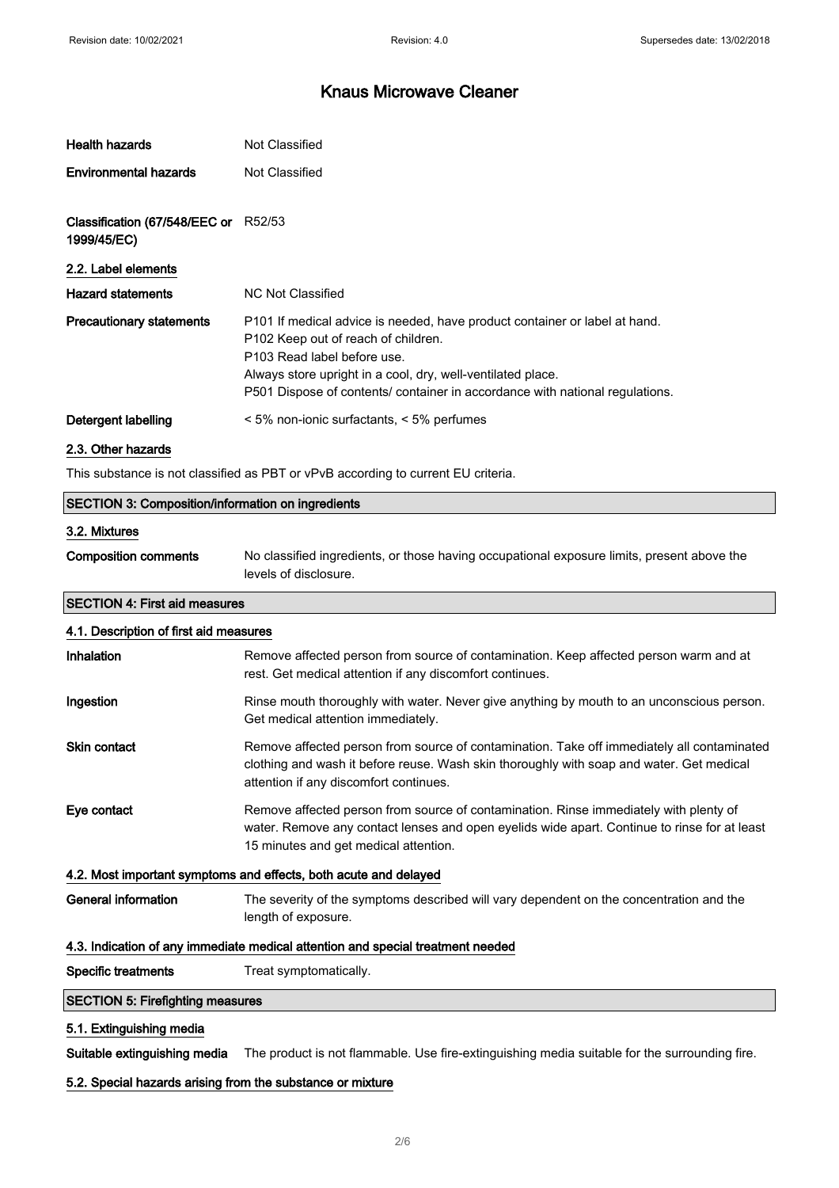| <b>Health hazards</b>                               | Not Classified                                                                                                                                                                                                                                                                                              |
|-----------------------------------------------------|-------------------------------------------------------------------------------------------------------------------------------------------------------------------------------------------------------------------------------------------------------------------------------------------------------------|
| <b>Environmental hazards</b>                        | Not Classified                                                                                                                                                                                                                                                                                              |
| Classification (67/548/EEC or R52/53<br>1999/45/EC) |                                                                                                                                                                                                                                                                                                             |
| 2.2. Label elements                                 |                                                                                                                                                                                                                                                                                                             |
| <b>Hazard statements</b>                            | NC Not Classified                                                                                                                                                                                                                                                                                           |
| <b>Precautionary statements</b>                     | P101 If medical advice is needed, have product container or label at hand.<br>P <sub>102</sub> Keep out of reach of children.<br>P103 Read label before use.<br>Always store upright in a cool, dry, well-ventilated place.<br>P501 Dispose of contents/ container in accordance with national regulations. |
| Detergent labelling                                 | $\leq$ 5% non-ionic surfactants, $\leq$ 5% perfumes                                                                                                                                                                                                                                                         |
| 2.3. Other hazards                                  |                                                                                                                                                                                                                                                                                                             |

This substance is not classified as PBT or vPvB according to current EU criteria.

### SECTION 3: Composition/information on ingredients

### 3.2. Mixtures

Composition comments No classified ingredients, or those having occupational exposure limits, present above the levels of disclosure.

### SECTION 4: First aid measures

| 4.1. Description of first aid measures                                          |                                                                                                                                                                                                                                  |  |
|---------------------------------------------------------------------------------|----------------------------------------------------------------------------------------------------------------------------------------------------------------------------------------------------------------------------------|--|
| Inhalation                                                                      | Remove affected person from source of contamination. Keep affected person warm and at<br>rest. Get medical attention if any discomfort continues.                                                                                |  |
| Ingestion                                                                       | Rinse mouth thoroughly with water. Never give anything by mouth to an unconscious person.<br>Get medical attention immediately.                                                                                                  |  |
| <b>Skin contact</b>                                                             | Remove affected person from source of contamination. Take off immediately all contaminated<br>clothing and wash it before reuse. Wash skin thoroughly with soap and water. Get medical<br>attention if any discomfort continues. |  |
| Eye contact                                                                     | Remove affected person from source of contamination. Rinse immediately with plenty of<br>water. Remove any contact lenses and open eyelids wide apart. Continue to rinse for at least<br>15 minutes and get medical attention.   |  |
|                                                                                 | 4.2. Most important symptoms and effects, both acute and delayed                                                                                                                                                                 |  |
| General information                                                             | The severity of the symptoms described will vary dependent on the concentration and the<br>length of exposure.                                                                                                                   |  |
| 4.3. Indication of any immediate medical attention and special treatment needed |                                                                                                                                                                                                                                  |  |
| Specific treatments                                                             | Treat symptomatically.                                                                                                                                                                                                           |  |
| <b>SECTION 5: Firefighting measures</b>                                         |                                                                                                                                                                                                                                  |  |
| 5.1. Extinguishing media                                                        |                                                                                                                                                                                                                                  |  |

Suitable extinguishing media The product is not flammable. Use fire-extinguishing media suitable for the surrounding fire.

### 5.2. Special hazards arising from the substance or mixture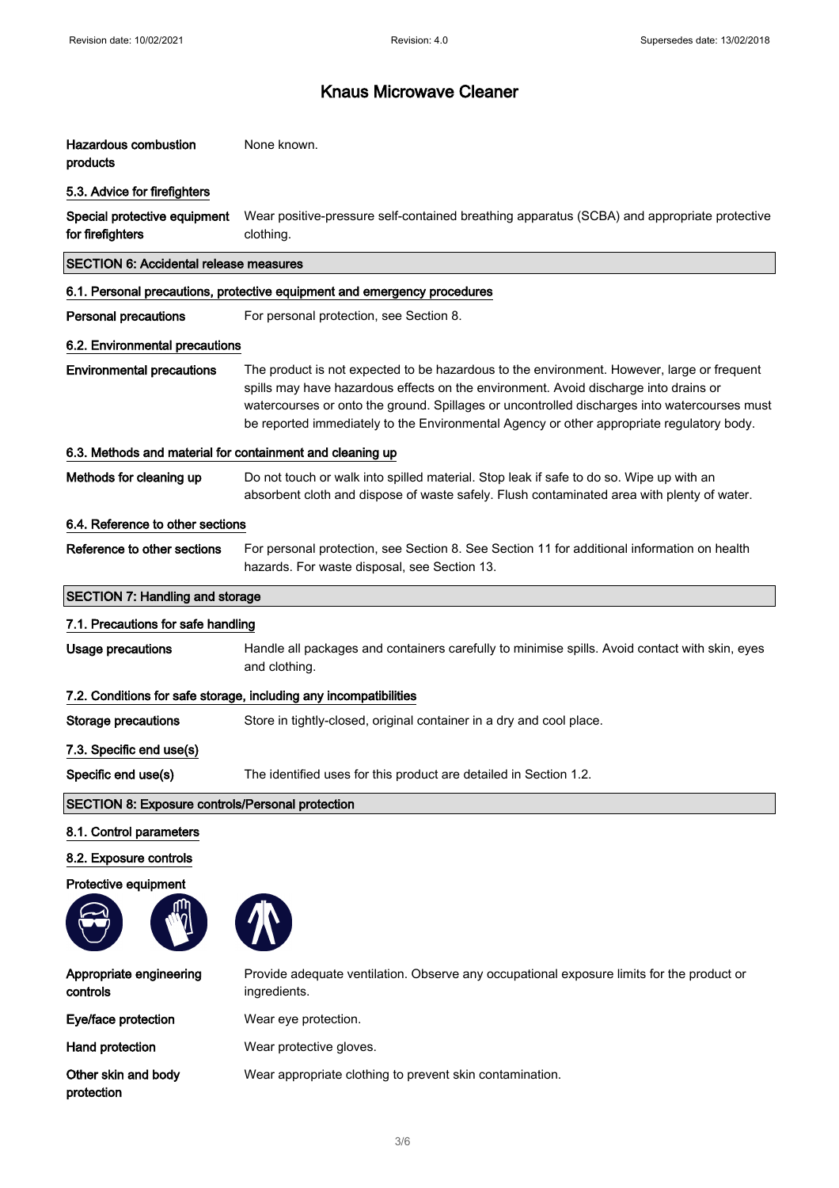| <b>Hazardous combustion</b><br>products                   | None known.                                                                                                                                                                                                                                                                                                                                                                     |  |
|-----------------------------------------------------------|---------------------------------------------------------------------------------------------------------------------------------------------------------------------------------------------------------------------------------------------------------------------------------------------------------------------------------------------------------------------------------|--|
| 5.3. Advice for firefighters                              |                                                                                                                                                                                                                                                                                                                                                                                 |  |
| Special protective equipment<br>for firefighters          | Wear positive-pressure self-contained breathing apparatus (SCBA) and appropriate protective<br>clothing.                                                                                                                                                                                                                                                                        |  |
| <b>SECTION 6: Accidental release measures</b>             |                                                                                                                                                                                                                                                                                                                                                                                 |  |
|                                                           | 6.1. Personal precautions, protective equipment and emergency procedures                                                                                                                                                                                                                                                                                                        |  |
| <b>Personal precautions</b>                               | For personal protection, see Section 8.                                                                                                                                                                                                                                                                                                                                         |  |
| 6.2. Environmental precautions                            |                                                                                                                                                                                                                                                                                                                                                                                 |  |
| <b>Environmental precautions</b>                          | The product is not expected to be hazardous to the environment. However, large or frequent<br>spills may have hazardous effects on the environment. Avoid discharge into drains or<br>watercourses or onto the ground. Spillages or uncontrolled discharges into watercourses must<br>be reported immediately to the Environmental Agency or other appropriate regulatory body. |  |
| 6.3. Methods and material for containment and cleaning up |                                                                                                                                                                                                                                                                                                                                                                                 |  |
| Methods for cleaning up                                   | Do not touch or walk into spilled material. Stop leak if safe to do so. Wipe up with an<br>absorbent cloth and dispose of waste safely. Flush contaminated area with plenty of water.                                                                                                                                                                                           |  |
| 6.4. Reference to other sections                          |                                                                                                                                                                                                                                                                                                                                                                                 |  |
| Reference to other sections                               | For personal protection, see Section 8. See Section 11 for additional information on health<br>hazards. For waste disposal, see Section 13.                                                                                                                                                                                                                                     |  |
| <b>SECTION 7: Handling and storage</b>                    |                                                                                                                                                                                                                                                                                                                                                                                 |  |
| 7.1. Precautions for safe handling                        |                                                                                                                                                                                                                                                                                                                                                                                 |  |
| <b>Usage precautions</b>                                  | Handle all packages and containers carefully to minimise spills. Avoid contact with skin, eyes<br>and clothing.                                                                                                                                                                                                                                                                 |  |
|                                                           | 7.2. Conditions for safe storage, including any incompatibilities                                                                                                                                                                                                                                                                                                               |  |
| <b>Storage precautions</b>                                | Store in tightly-closed, original container in a dry and cool place.                                                                                                                                                                                                                                                                                                            |  |
| 7.3. Specific end use(s)                                  |                                                                                                                                                                                                                                                                                                                                                                                 |  |
| Specific end use(s)                                       | The identified uses for this product are detailed in Section 1.2.                                                                                                                                                                                                                                                                                                               |  |
| <b>SECTION 8: Exposure controls/Personal protection</b>   |                                                                                                                                                                                                                                                                                                                                                                                 |  |
| 8.1. Control parameters                                   |                                                                                                                                                                                                                                                                                                                                                                                 |  |
| 8.2. Exposure controls                                    |                                                                                                                                                                                                                                                                                                                                                                                 |  |
| Protective equipment                                      |                                                                                                                                                                                                                                                                                                                                                                                 |  |
|                                                           |                                                                                                                                                                                                                                                                                                                                                                                 |  |
| Appropriate engineering<br>controls                       | Provide adequate ventilation. Observe any occupational exposure limits for the product or<br>ingredients.                                                                                                                                                                                                                                                                       |  |
| Eye/face protection                                       | Wear eye protection.                                                                                                                                                                                                                                                                                                                                                            |  |
| <b>Hand protection</b>                                    | Wear protective gloves.                                                                                                                                                                                                                                                                                                                                                         |  |
| Other skin and body<br>protection                         | Wear appropriate clothing to prevent skin contamination.                                                                                                                                                                                                                                                                                                                        |  |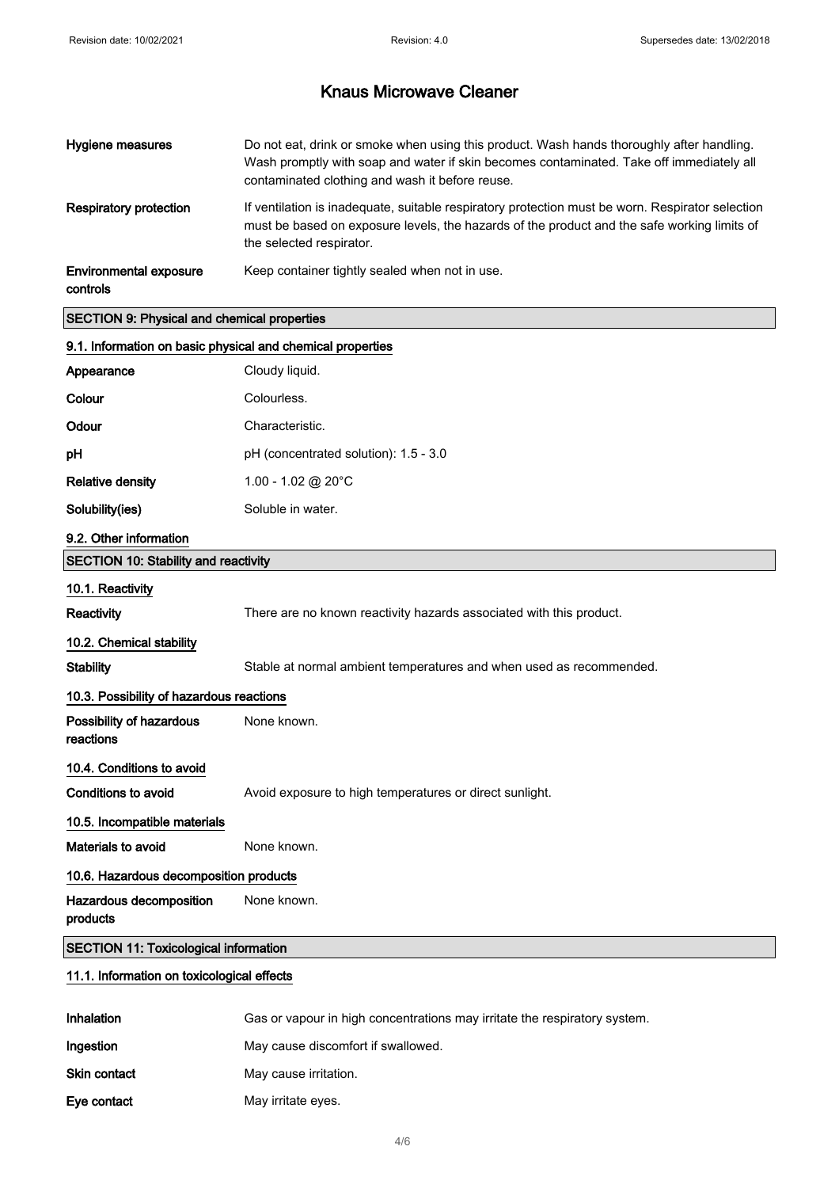| Hygiene measures                                           | Do not eat, drink or smoke when using this product. Wash hands thoroughly after handling.<br>Wash promptly with soap and water if skin becomes contaminated. Take off immediately all<br>contaminated clothing and wash it before reuse. |  |
|------------------------------------------------------------|------------------------------------------------------------------------------------------------------------------------------------------------------------------------------------------------------------------------------------------|--|
| <b>Respiratory protection</b>                              | If ventilation is inadequate, suitable respiratory protection must be worn. Respirator selection<br>must be based on exposure levels, the hazards of the product and the safe working limits of<br>the selected respirator.              |  |
| <b>Environmental exposure</b><br>controls                  | Keep container tightly sealed when not in use.                                                                                                                                                                                           |  |
| <b>SECTION 9: Physical and chemical properties</b>         |                                                                                                                                                                                                                                          |  |
| 9.1. Information on basic physical and chemical properties |                                                                                                                                                                                                                                          |  |
| Appearance                                                 | Cloudy liquid.                                                                                                                                                                                                                           |  |
| Colour                                                     | Colourless.                                                                                                                                                                                                                              |  |
| Odour                                                      | Characteristic.                                                                                                                                                                                                                          |  |
| рH                                                         | pH (concentrated solution): 1.5 - 3.0                                                                                                                                                                                                    |  |
| <b>Relative density</b>                                    | 1.00 - 1.02 @ 20 $^{\circ}$ C                                                                                                                                                                                                            |  |
| Solubility(ies)                                            | Soluble in water.                                                                                                                                                                                                                        |  |
| 9.2. Other information                                     |                                                                                                                                                                                                                                          |  |
| <b>SECTION 10: Stability and reactivity</b>                |                                                                                                                                                                                                                                          |  |
| 10.1. Reactivity                                           |                                                                                                                                                                                                                                          |  |
| Reactivity                                                 | There are no known reactivity hazards associated with this product.                                                                                                                                                                      |  |
| 10.2. Chemical stability                                   |                                                                                                                                                                                                                                          |  |
| <b>Stability</b>                                           | Stable at normal ambient temperatures and when used as recommended.                                                                                                                                                                      |  |
| 10.3. Possibility of hazardous reactions                   |                                                                                                                                                                                                                                          |  |
| Possibility of hazardous<br>reactions                      | None known.                                                                                                                                                                                                                              |  |
| 10.4. Conditions to avoid                                  |                                                                                                                                                                                                                                          |  |
| <b>Conditions to avoid</b>                                 | Avoid exposure to high temperatures or direct sunlight.                                                                                                                                                                                  |  |
| 10.5. Incompatible materials                               |                                                                                                                                                                                                                                          |  |
| Materials to avoid                                         | None known.                                                                                                                                                                                                                              |  |
| 10.6. Hazardous decomposition products                     |                                                                                                                                                                                                                                          |  |
| Hazardous decomposition<br>products                        | None known.                                                                                                                                                                                                                              |  |
| <b>SECTION 11: Toxicological information</b>               |                                                                                                                                                                                                                                          |  |
| 11.1. Information on toxicological effects                 |                                                                                                                                                                                                                                          |  |

| Inhalation          | Gas or vapour in high concentrations may irritate the respiratory system. |
|---------------------|---------------------------------------------------------------------------|
| Ingestion           | May cause discomfort if swallowed.                                        |
| <b>Skin contact</b> | May cause irritation.                                                     |
| Eye contact         | May irritate eyes.                                                        |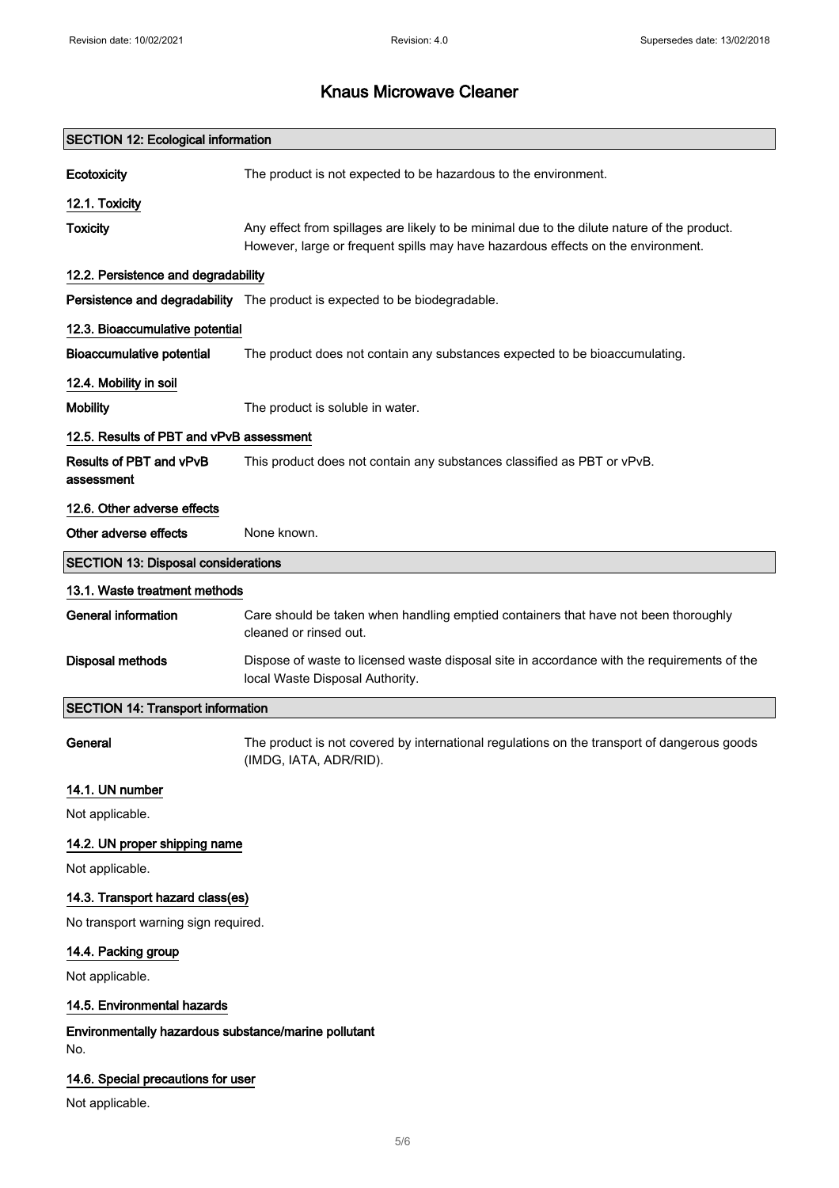| <b>SECTION 12: Ecological information</b>                   |                                                                                                                                                                                 |  |
|-------------------------------------------------------------|---------------------------------------------------------------------------------------------------------------------------------------------------------------------------------|--|
| Ecotoxicity                                                 | The product is not expected to be hazardous to the environment.                                                                                                                 |  |
| 12.1. Toxicity                                              |                                                                                                                                                                                 |  |
| <b>Toxicity</b>                                             | Any effect from spillages are likely to be minimal due to the dilute nature of the product.<br>However, large or frequent spills may have hazardous effects on the environment. |  |
| 12.2. Persistence and degradability                         |                                                                                                                                                                                 |  |
|                                                             | Persistence and degradability The product is expected to be biodegradable.                                                                                                      |  |
| 12.3. Bioaccumulative potential                             |                                                                                                                                                                                 |  |
| <b>Bioaccumulative potential</b>                            | The product does not contain any substances expected to be bioaccumulating.                                                                                                     |  |
| 12.4. Mobility in soil                                      |                                                                                                                                                                                 |  |
| <b>Mobility</b>                                             | The product is soluble in water.                                                                                                                                                |  |
| 12.5. Results of PBT and vPvB assessment                    |                                                                                                                                                                                 |  |
| Results of PBT and vPvB<br>assessment                       | This product does not contain any substances classified as PBT or vPvB.                                                                                                         |  |
| 12.6. Other adverse effects                                 |                                                                                                                                                                                 |  |
| Other adverse effects                                       | None known.                                                                                                                                                                     |  |
| <b>SECTION 13: Disposal considerations</b>                  |                                                                                                                                                                                 |  |
| 13.1. Waste treatment methods                               |                                                                                                                                                                                 |  |
| <b>General information</b>                                  | Care should be taken when handling emptied containers that have not been thoroughly<br>cleaned or rinsed out.                                                                   |  |
| Disposal methods                                            | Dispose of waste to licensed waste disposal site in accordance with the requirements of the<br>local Waste Disposal Authority.                                                  |  |
| <b>SECTION 14: Transport information</b>                    |                                                                                                                                                                                 |  |
| General                                                     | The product is not covered by international regulations on the transport of dangerous goods<br>(IMDG, IATA, ADR/RID).                                                           |  |
| 14.1. UN number                                             |                                                                                                                                                                                 |  |
| Not applicable.                                             |                                                                                                                                                                                 |  |
| 14.2. UN proper shipping name                               |                                                                                                                                                                                 |  |
| Not applicable.                                             |                                                                                                                                                                                 |  |
| 14.3. Transport hazard class(es)                            |                                                                                                                                                                                 |  |
| No transport warning sign required.                         |                                                                                                                                                                                 |  |
| 14.4. Packing group                                         |                                                                                                                                                                                 |  |
| Not applicable.                                             |                                                                                                                                                                                 |  |
| 14.5. Environmental hazards                                 |                                                                                                                                                                                 |  |
| Environmentally hazardous substance/marine pollutant<br>No. |                                                                                                                                                                                 |  |
| 14.6. Special precautions for user                          |                                                                                                                                                                                 |  |
| Not applicable.                                             |                                                                                                                                                                                 |  |